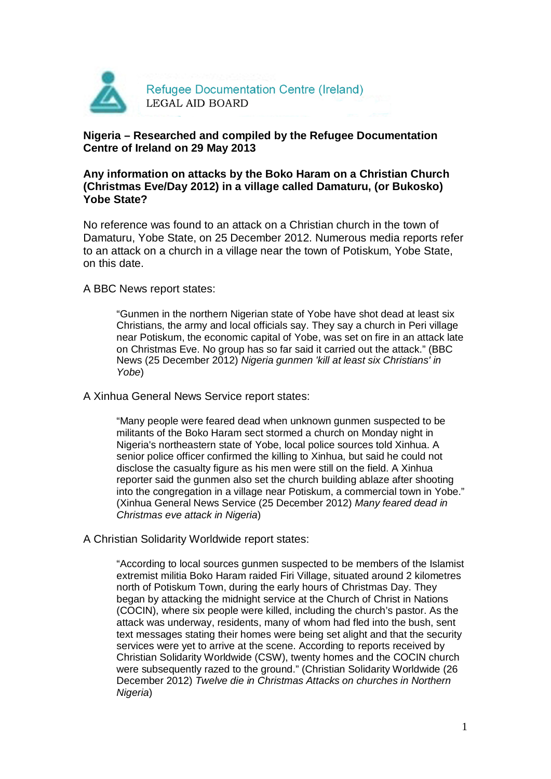

### **Nigeria – Researched and compiled by the Refugee Documentation Centre of Ireland on 29 May 2013**

### **Any information on attacks by the Boko Haram on a Christian Church (Christmas Eve/Day 2012) in a village called Damaturu, (or Bukosko) Yobe State?**

No reference was found to an attack on a Christian church in the town of Damaturu, Yobe State, on 25 December 2012. Numerous media reports refer to an attack on a church in a village near the town of Potiskum, Yobe State, on this date.

#### A BBC News report states:

"Gunmen in the northern Nigerian state of Yobe have shot dead at least six Christians, the army and local officials say. They say a church in Peri village near Potiskum, the economic capital of Yobe, was set on fire in an attack late on Christmas Eve. No group has so far said it carried out the attack." (BBC News (25 December 2012) Nigeria gunmen 'kill at least six Christians' in Yobe)

#### A Xinhua General News Service report states:

"Many people were feared dead when unknown gunmen suspected to be militants of the Boko Haram sect stormed a church on Monday night in Nigeria's northeastern state of Yobe, local police sources told Xinhua. A senior police officer confirmed the killing to Xinhua, but said he could not disclose the casualty figure as his men were still on the field. A Xinhua reporter said the gunmen also set the church building ablaze after shooting into the congregation in a village near Potiskum, a commercial town in Yobe." (Xinhua General News Service (25 December 2012) Many feared dead in Christmas eve attack in Nigeria)

# A Christian Solidarity Worldwide report states:

"According to local sources gunmen suspected to be members of the Islamist extremist militia Boko Haram raided Firi Village, situated around 2 kilometres north of Potiskum Town, during the early hours of Christmas Day. They began by attacking the midnight service at the Church of Christ in Nations (COCIN), where six people were killed, including the church's pastor. As the attack was underway, residents, many of whom had fled into the bush, sent text messages stating their homes were being set alight and that the security services were yet to arrive at the scene. According to reports received by Christian Solidarity Worldwide (CSW), twenty homes and the COCIN church were subsequently razed to the ground." (Christian Solidarity Worldwide (26 December 2012) Twelve die in Christmas Attacks on churches in Northern Nigeria)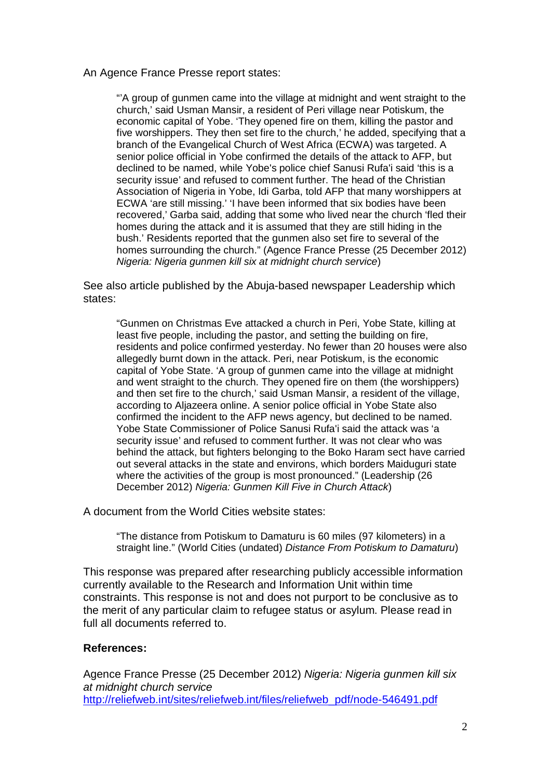An Agence France Presse report states:

"'A group of gunmen came into the village at midnight and went straight to the church,' said Usman Mansir, a resident of Peri village near Potiskum, the economic capital of Yobe. 'They opened fire on them, killing the pastor and five worshippers. They then set fire to the church,' he added, specifying that a branch of the Evangelical Church of West Africa (ECWA) was targeted. A senior police official in Yobe confirmed the details of the attack to AFP, but declined to be named, while Yobe's police chief Sanusi Rufa'i said 'this is a security issue' and refused to comment further. The head of the Christian Association of Nigeria in Yobe, Idi Garba, told AFP that many worshippers at ECWA 'are still missing.' 'I have been informed that six bodies have been recovered,' Garba said, adding that some who lived near the church 'fled their homes during the attack and it is assumed that they are still hiding in the bush.' Residents reported that the gunmen also set fire to several of the homes surrounding the church." (Agence France Presse (25 December 2012) Nigeria: Nigeria gunmen kill six at midnight church service)

See also article published by the Abuja-based newspaper Leadership which states:

"Gunmen on Christmas Eve attacked a church in Peri, Yobe State, killing at least five people, including the pastor, and setting the building on fire, residents and police confirmed yesterday. No fewer than 20 houses were also allegedly burnt down in the attack. Peri, near Potiskum, is the economic capital of Yobe State. 'A group of gunmen came into the village at midnight and went straight to the church. They opened fire on them (the worshippers) and then set fire to the church,' said Usman Mansir, a resident of the village, according to Aljazeera online. A senior police official in Yobe State also confirmed the incident to the AFP news agency, but declined to be named. Yobe State Commissioner of Police Sanusi Rufa'i said the attack was 'a security issue' and refused to comment further. It was not clear who was behind the attack, but fighters belonging to the Boko Haram sect have carried out several attacks in the state and environs, which borders Maiduguri state where the activities of the group is most pronounced." (Leadership (26) December 2012) Nigeria: Gunmen Kill Five in Church Attack)

A document from the World Cities website states:

"The distance from Potiskum to Damaturu is 60 miles (97 kilometers) in a straight line." (World Cities (undated) Distance From Potiskum to Damaturu)

This response was prepared after researching publicly accessible information currently available to the Research and Information Unit within time constraints. This response is not and does not purport to be conclusive as to the merit of any particular claim to refugee status or asylum. Please read in full all documents referred to.

# **References:**

Agence France Presse (25 December 2012) Nigeria: Nigeria gunmen kill six at midnight church service http://reliefweb.int/sites/reliefweb.int/files/reliefweb\_pdf/node-546491.pdf